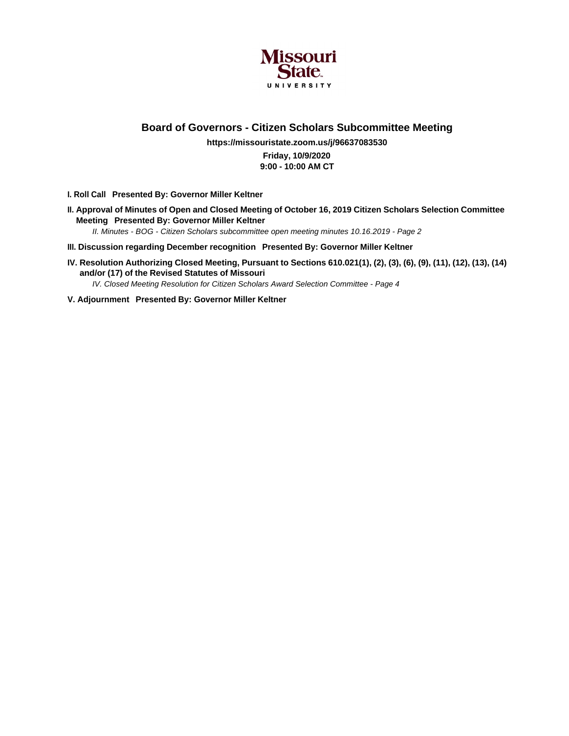

**Board of Governors - Citizen Scholars Subcommittee Meeting**

**https://missouristate.zoom.us/j/96637083530 Friday, 10/9/2020 9:00 - 10:00 AM CT**

**I. Roll Call Presented By: Governor Miller Keltner**

**II. Approval of Minutes of Open and Closed Meeting of October 16, 2019 Citizen Scholars Selection Committee Meeting Presented By: Governor Miller Keltner** II. Minutes - BOG - Citizen Scholars subcommittee open meeting minutes 10.16.2019 - Page 2

- **III. Discussion regarding December recognition Presented By: Governor Miller Keltner**
- **IV. Resolution Authorizing Closed Meeting, Pursuant to Sections 610.021(1), (2), (3), (6), (9), (11), (12), (13), (14) and/or (17) of the Revised Statutes of Missouri**

IV. Closed Meeting Resolution for Citizen Scholars Award Selection Committee - Page 4

**V. Adjournment Presented By: Governor Miller Keltner**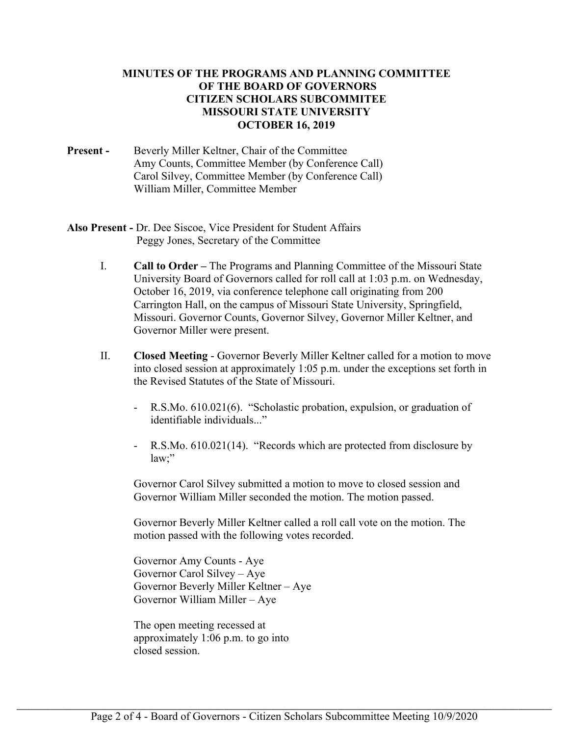## **MINUTES OF THE PROGRAMS AND PLANNING COMMITTEE OF THE BOARD OF GOVERNORS CITIZEN SCHOLARS SUBCOMMITEE MISSOURI STATE UNIVERSITY OCTOBER 16, 2019**

- **Present -** Beverly Miller Keltner, Chair of the Committee Amy Counts, Committee Member (by Conference Call) Carol Silvey, Committee Member (by Conference Call) William Miller, Committee Member
- **Also Present** Dr. Dee Siscoe, Vice President for Student Affairs Peggy Jones, Secretary of the Committee
	- I. **Call to Order** The Programs and Planning Committee of the Missouri State University Board of Governors called for roll call at 1:03 p.m. on Wednesday, October 16, 2019, via conference telephone call originating from 200 Carrington Hall, on the campus of Missouri State University, Springfield, Missouri. Governor Counts, Governor Silvey, Governor Miller Keltner, and Governor Miller were present.
	- II. **Closed Meeting** Governor Beverly Miller Keltner called for a motion to move into closed session at approximately 1:05 p.m. under the exceptions set forth in the Revised Statutes of the State of Missouri.
		- R.S.Mo. 610.021(6). "Scholastic probation, expulsion, or graduation of identifiable individuals..."
		- R.S.Mo. 610.021(14). "Records which are protected from disclosure by law;"

Governor Carol Silvey submitted a motion to move to closed session and Governor William Miller seconded the motion. The motion passed.

Governor Beverly Miller Keltner called a roll call vote on the motion. The motion passed with the following votes recorded.

Governor Amy Counts - Aye Governor Carol Silvey – Aye Governor Beverly Miller Keltner – Aye Governor William Miller – Aye

The open meeting recessed at approximately 1:06 p.m. to go into closed session.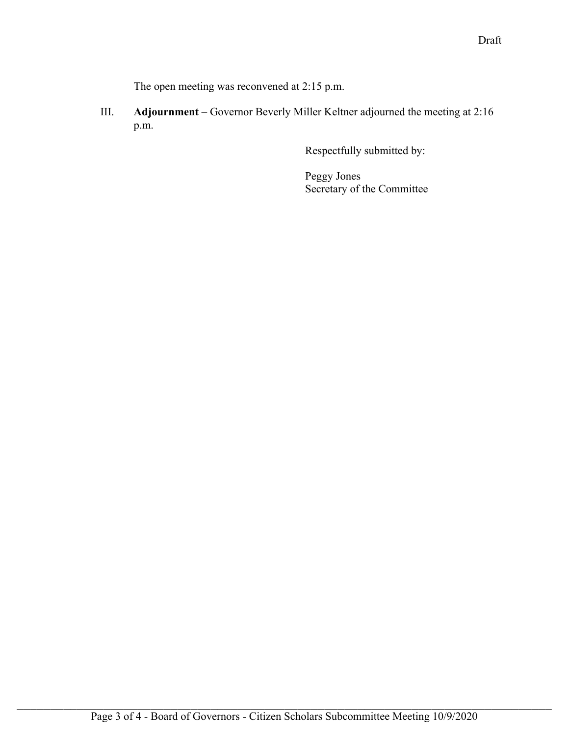The open meeting was reconvened at 2:15 p.m.

III. **Adjournment** – Governor Beverly Miller Keltner adjourned the meeting at 2:16 p.m.

Respectfully submitted by:

Peggy Jones Secretary of the Committee